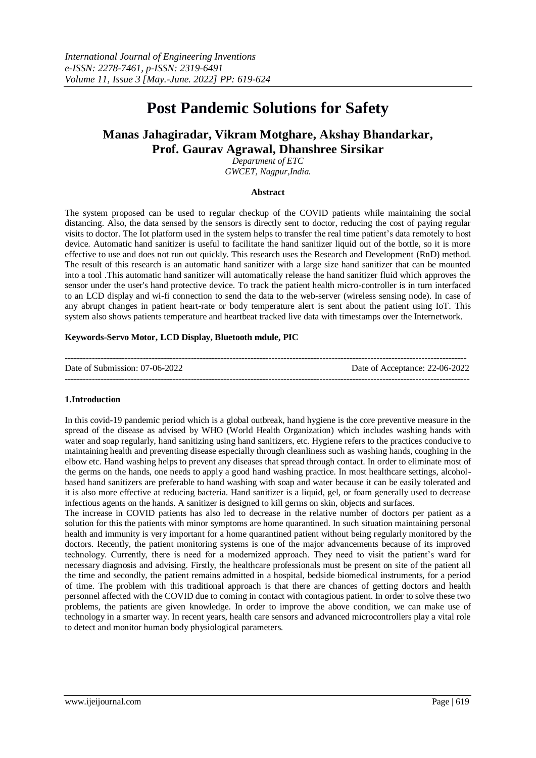# **Post Pandemic Solutions for Safety**

# **Manas Jahagiradar, Vikram Motghare, Akshay Bhandarkar, Prof. Gaurav Agrawal, Dhanshree Sirsikar**

*Department of ETC GWCET, Nagpur,India.*

#### **Abstract**

The system proposed can be used to regular checkup of the COVID patients while maintaining the social distancing. Also, the data sensed by the sensors is directly sent to doctor, reducing the cost of paying regular visits to doctor. The Iot platform used in the system helps to transfer the real time patient's data remotely to host device. Automatic hand sanitizer is useful to facilitate the hand sanitizer liquid out of the bottle, so it is more effective to use and does not run out quickly. This research uses the Research and Development (RnD) method. The result of this research is an automatic hand sanitizer with a large size hand sanitizer that can be mounted into a tool .This automatic hand sanitizer will automatically release the hand sanitizer fluid which approves the sensor under the user's hand protective device. To track the patient health micro-controller is in turn interfaced to an LCD display and wi-fi connection to send the data to the web-server (wireless sensing node). In case of any abrupt changes in patient heart-rate or body temperature alert is sent about the patient using IoT. This system also shows patients temperature and heartbeat tracked live data with timestamps over the Internetwork.

#### **Keywords-Servo Motor, LCD Display, Bluetooth mdule, PIC**

| Date of Submission: 07-06-2022 | Date of Acceptance: 22-06-2022 |
|--------------------------------|--------------------------------|
|                                |                                |

#### **1.Introduction**

In this covid-19 pandemic period which is a global outbreak, hand hygiene is the core preventive measure in the spread of the disease as advised by WHO (World Health Organization) which includes washing hands with water and soap regularly, hand sanitizing using hand sanitizers, etc. Hygiene refers to the practices conducive to maintaining health and preventing disease especially through cleanliness such as washing hands, coughing in the elbow etc. Hand washing helps to prevent any diseases that spread through contact. In order to eliminate most of the germs on the hands, one needs to apply a good hand washing practice. In most healthcare settings, alcoholbased hand sanitizers are preferable to hand washing with soap and water because it can be easily tolerated and it is also more effective at reducing bacteria. Hand sanitizer is a liquid, gel, or foam generally used to decrease infectious agents on the hands. A sanitizer is designed to kill germs on skin, objects and surfaces.

The increase in COVID patients has also led to decrease in the relative number of doctors per patient as a solution for this the patients with minor symptoms are home quarantined. In such situation maintaining personal health and immunity is very important for a home quarantined patient without being regularly monitored by the doctors. Recently, the patient monitoring systems is one of the major advancements because of its improved technology. Currently, there is need for a modernized approach. They need to visit the patient's ward for necessary diagnosis and advising. Firstly, the healthcare professionals must be present on site of the patient all the time and secondly, the patient remains admitted in a hospital, bedside biomedical instruments, for a period of time. The problem with this traditional approach is that there are chances of getting doctors and health personnel affected with the COVID due to coming in contact with contagious patient. In order to solve these two problems, the patients are given knowledge. In order to improve the above condition, we can make use of technology in a smarter way. In recent years, health care sensors and advanced microcontrollers play a vital role to detect and monitor human body physiological parameters.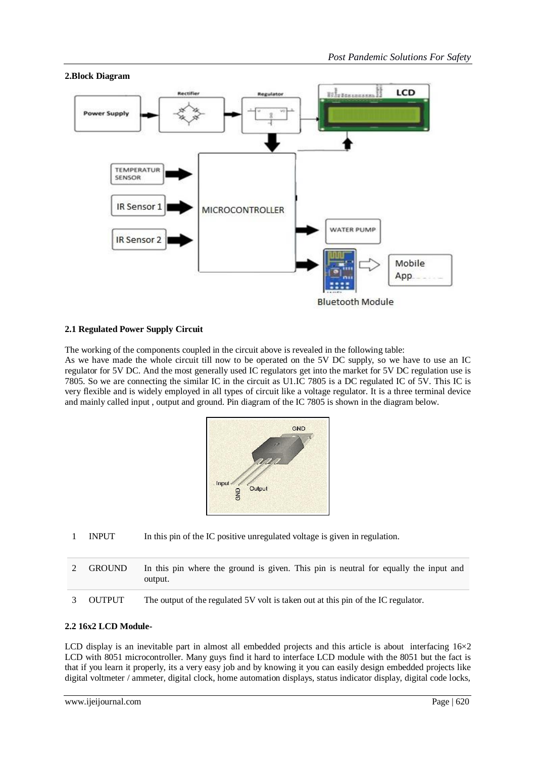

# **2.1 Regulated Power Supply Circuit**

The working of the components coupled in the circuit above is revealed in the following table:

As we have made the whole circuit till now to be operated on the 5V DC supply, so we have to use an IC regulator for 5V DC. And the most generally used IC regulators get into the market for 5V DC regulation use is 7805. So we are connecting the similar IC in the circuit as U1.IC 7805 is a DC regulated IC of 5V. This IC is very flexible and is widely employed in all types of circuit like a voltage regulator. It is a three terminal device and mainly called input , output and ground. Pin diagram of the IC 7805 is shown in the diagram below.



- 1 INPUT In this pin of the IC positive unregulated voltage is given in regulation.
- 2 GROUND In this pin where the ground is given. This pin is neutral for equally the input and output.
- 3 OUTPUT The output of the regulated 5V volt is taken out at this pin of the IC regulator.

#### **2.2 16x2 LCD Module-**

LCD display is an inevitable part in almost all embedded projects and this article is about interfacing  $16\times2$ LCD with 8051 microcontroller. Many guys find it hard to interface LCD module with the 8051 but the fact is that if you learn it properly, its a very easy job and by knowing it you can easily design embedded projects like digital voltmeter / ammeter, digital clock, home automation displays, status indicator display, digital code locks,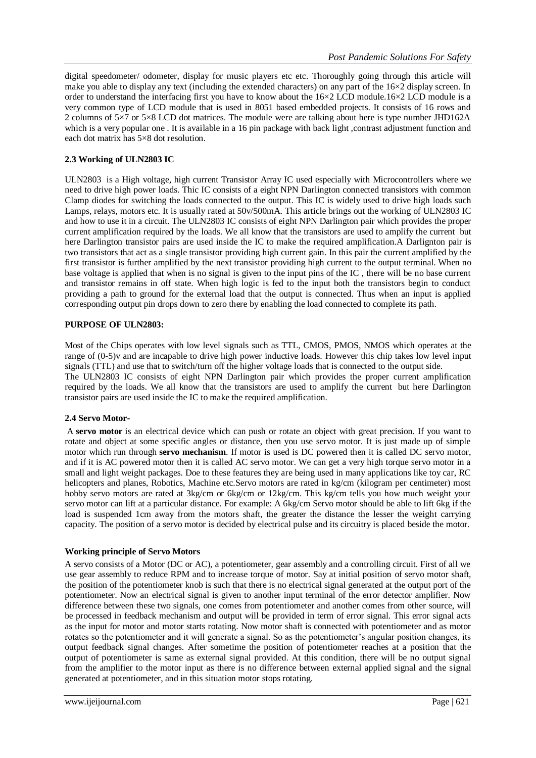digital speedometer/ odometer, display for music players etc etc. Thoroughly going through this article will make you able to display any text (including the extended characters) on any part of the 16×2 display screen. In order to understand the interfacing first you have to know about the 16×2 LCD module.16×2 LCD module is a very common type of LCD module that is used in 8051 based embedded projects. It consists of 16 rows and 2 columns of 5×7 or 5×8 LCD dot matrices. The module were are talking about here is type number JHD162A which is a very popular one . It is available in a 16 pin package with back light, contrast adjustment function and each dot matrix has 5×8 dot resolution.

# **2.3 Working of ULN2803 IC**

ULN2803 is a High voltage, high current Transistor Array IC used especially with Microcontrollers where we need to drive high power loads. Thic IC consists of a eight NPN Darlington connected transistors with common Clamp diodes for switching the loads connected to the output. This IC is widely used to drive high loads such Lamps, relays, motors etc. It is usually rated at 50v/500mA. This article brings out the working of ULN2803 IC and how to use it in a circuit. The ULN2803 IC consists of eight NPN Darlington pair which provides the proper current amplification required by the loads. We all know that the transistors are used to amplify the current but here Darlington transistor pairs are used inside the IC to make the required amplification.A Darlignton pair is two transistors that act as a single transistor providing high current gain. In this pair the current amplified by the first transistor is further amplified by the next transistor providing high current to the output terminal. When no base voltage is applied that when is no signal is given to the input pins of the IC , there will be no base current and transistor remains in off state. When high logic is fed to the input both the transistors begin to conduct providing a path to ground for the external load that the output is connected. Thus when an input is applied corresponding output pin drops down to zero there by enabling the load connected to complete its path.

## **PURPOSE OF ULN2803:**

Most of the Chips operates with low level signals such as TTL, CMOS, PMOS, NMOS which operates at the range of (0-5)v and are incapable to drive high power inductive loads. However this chip takes low level input signals (TTL) and use that to switch/turn off the higher voltage loads that is connected to the output side. The ULN2803 IC consists of eight NPN Darlington pair which provides the proper current amplification required by the loads. We all know that the transistors are used to amplify the current but here Darlington transistor pairs are used inside the IC to make the required amplification.

# **2.4 Servo Motor-**

A **servo motor** is an electrical device which can push or rotate an object with great precision. If you want to rotate and object at some specific angles or distance, then you use servo motor. It is just made up of simple motor which run through **servo mechanism**. If motor is used is DC powered then it is called DC servo motor, and if it is AC powered motor then it is called AC servo motor. We can get a very high torque servo motor in a small and light weight packages. Doe to these features they are being used in many applications like toy car, RC helicopters and planes, Robotics, Machine etc.Servo motors are rated in kg/cm (kilogram per centimeter) most hobby servo motors are rated at 3kg/cm or 6kg/cm or 12kg/cm. This kg/cm tells you how much weight your servo motor can lift at a particular distance. For example: A 6kg/cm Servo motor should be able to lift 6kg if the load is suspended 1cm away from the motors shaft, the greater the distance the lesser the weight carrying capacity. The position of a servo motor is decided by electrical pulse and its circuitry is placed beside the motor.

# **Working principle of Servo Motors**

A servo consists of a Motor (DC or AC), a potentiometer, gear assembly and a controlling circuit. First of all we use gear assembly to reduce RPM and to increase torque of motor. Say at initial position of servo motor shaft, the position of the potentiometer knob is such that there is no electrical signal generated at the output port of the potentiometer. Now an electrical signal is given to another input terminal of the error detector amplifier. Now difference between these two signals, one comes from potentiometer and another comes from other source, will be processed in feedback mechanism and output will be provided in term of error signal. This error signal acts as the input for motor and motor starts rotating. Now motor shaft is connected with potentiometer and as motor rotates so the potentiometer and it will generate a signal. So as the potentiometer's angular position changes, its output feedback signal changes. After sometime the position of potentiometer reaches at a position that the output of potentiometer is same as external signal provided. At this condition, there will be no output signal from the amplifier to the motor input as there is no difference between external applied signal and the signal generated at potentiometer, and in this situation motor stops rotating.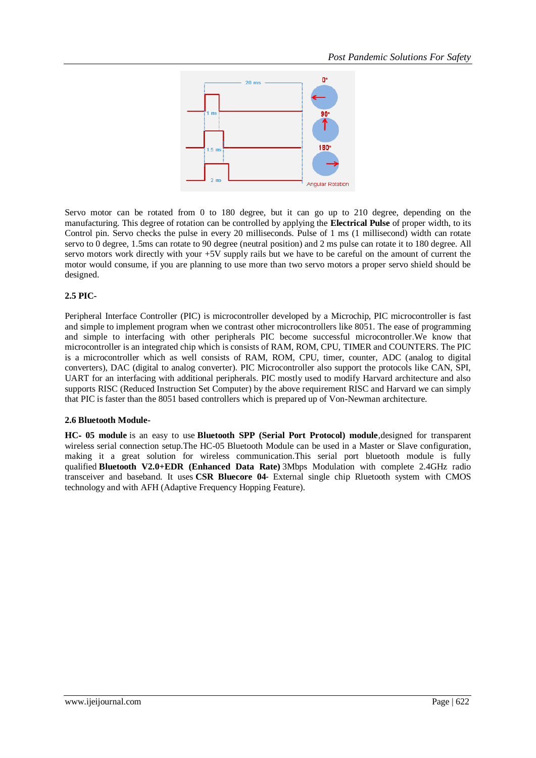

Servo motor can be rotated from 0 to 180 degree, but it can go up to 210 degree, depending on the manufacturing. This degree of rotation can be controlled by applying the **Electrical Pulse** of proper width, to its Control pin. Servo checks the pulse in every 20 milliseconds. Pulse of 1 ms (1 millisecond) width can rotate servo to 0 degree, 1.5ms can rotate to 90 degree (neutral position) and 2 ms pulse can rotate it to 180 degree. All servo motors work directly with your +5V supply rails but we have to be careful on the amount of current the motor would consume, if you are planning to use more than two servo motors a proper servo shield should be designed.

# **2.5 PIC-**

Peripheral Interface Controller (PIC) is microcontroller developed by a Microchip, [PIC microcontroller](http://www.elprocus.com/introduction-to-pic-microcontrollers-and-its-architecture/) is fast and simple to implement program when we contrast other microcontrollers like 8051. The ease of programming and simple to interfacing with other peripherals PIC become successful microcontroller.We know that microcontroller is an integrated chip which is consists of RAM, ROM, CPU, [TIMER and COUNTERS.](http://www.elprocus.com/8051-microcontroller-8-16-bit-timers-and-counters/) The PIC is a microcontroller which as well consists of RAM, ROM, CPU, timer, counter, ADC [\(analog to digital](http://www.elprocus.com/analog-digital-converters/)  [converters\)](http://www.elprocus.com/analog-digital-converters/), DAC (digital to analog converter). PIC Microcontroller also support the protocols like CAN, SPI, UART for an interfacing with additional peripherals. PIC mostly used to modify Harvard architecture and also supports [RISC \(Reduced Instruction Set Computer\)](http://www.elprocus.com/what-is-risc-and-cisc-architecture-and-their-workings/) by the above requirement RISC and Harvard we can simply that PIC is faster than the 8051 based controllers which is prepared up of Von-Newman architecture.

# **2.6 Bluetooth Module-**

**HC**‐ **05 module** is an easy to use **Bluetooth SPP (Serial Port Protocol) module**,designed for transparent wireless serial connection setup.The HC-05 Bluetooth Module can be used in a Master or Slave configuration, making it a great solution for wireless communication.This serial port bluetooth module is fully qualified **Bluetooth V2.0+EDR (Enhanced Data Rate)** 3Mbps Modulation with complete 2.4GHz radio transceiver and baseband. It uses **CSR Bluecore 04**‐ External single chip Rluetooth system with CMOS technology and with AFH (Adaptive Frequency Hopping Feature).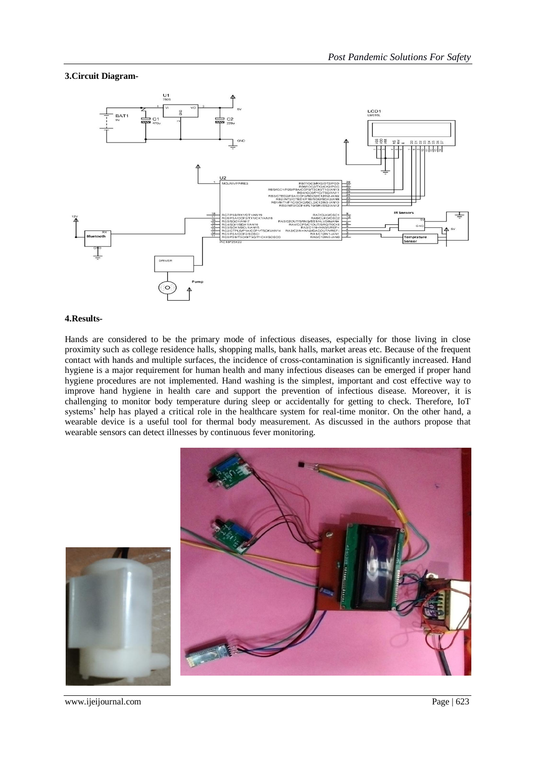## **3.Circuit Diagram-**



#### **4.Results-**

Hands are considered to be the primary mode of infectious diseases, especially for those living in close proximity such as college residence halls, shopping malls, bank halls, market areas etc. Because of the frequent contact with hands and multiple surfaces, the incidence of cross-contamination is significantly increased. Hand hygiene is a major requirement for human health and many infectious diseases can be emerged if proper hand hygiene procedures are not implemented. Hand washing is the simplest, important and cost effective way to improve hand hygiene in health care and support the prevention of infectious disease. Moreover, it is challenging to monitor body temperature during sleep or accidentally for getting to check. Therefore, IoT systems' help has played a critical role in the healthcare system for real-time monitor. On the other hand, a wearable device is a useful tool for thermal body measurement. As discussed in the authors propose that wearable sensors can detect illnesses by continuous fever monitoring.



www.ijeijournal.com Page | 623